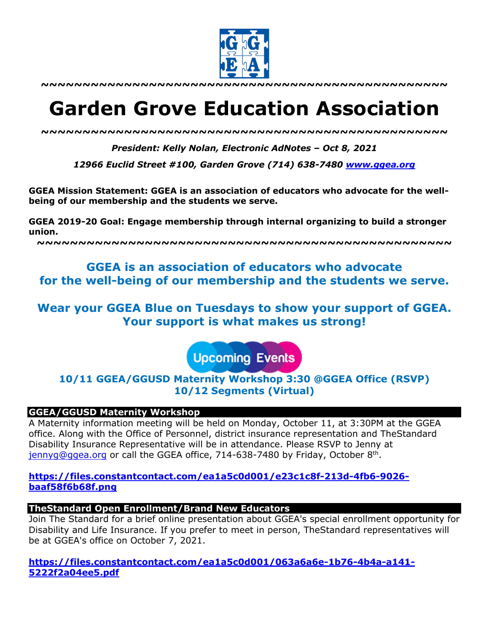

**~~~~~~~~~~~~~~~~~~~~~~~~~~~~~~~~~~~~~~~~~~~~~~~~~**

# **Garden Grove Education Association**

*~~~~~~~~~~~~~~~~~~~~~~~~~~~~~~~~~~~~~~~~~~~~~~~~~*

*President: Kelly Nolan, Electronic AdNotes – Oct 8, 2021*

*12966 Euclid Street #100, Garden Grove (714) 638-7480 www.ggea.org*

**GGEA Mission Statement: GGEA is an association of educators who advocate for the wellbeing of our membership and the students we serve.** 

**GGEA 2019-20 Goal: Engage membership through internal organizing to build a stronger union.**

**~~~~~~~~~~~~~~~~~~~~~~~~~~~~~~~~~~~~~~~~~~~~~~~~~~**

## **GGEA is an association of educators who advocate for the well-being of our membership and the students we serve.**

**Wear your GGEA Blue on Tuesdays to show your support of GGEA. Your support is what makes us strong!**

**Upcoming Events** 

**10/11 GGEA/GGUSD Maternity Workshop 3:30 @GGEA Office (RSVP) 10/12 Segments (Virtual)**

## **GGEA/GGUSD Maternity Workshop**

A Maternity information meeting will be held on Monday, October 11, at 3:30PM at the GGEA office. Along with the Office of Personnel, district insurance representation and TheStandard Disability Insurance Representative will be in attendance. Please RSVP to Jenny at jennyg@ggea.org or call the GGEA office, 714-638-7480 by Friday, October 8th.

## **https://files.constantcontact.com/ea1a5c0d001/e23c1c8f-213d-4fb6-9026 baaf58f6b68f.png**

## **TheStandard Open Enrollment/Brand New Educators**

Join The Standard for a brief online presentation about GGEA's special enrollment opportunity for Disability and Life Insurance. If you prefer to meet in person, TheStandard representatives will be at GGEA's office on October 7, 2021.

**https://files.constantcontact.com/ea1a5c0d001/063a6a6e-1b76-4b4a-a141- 5222f2a04ee5.pdf**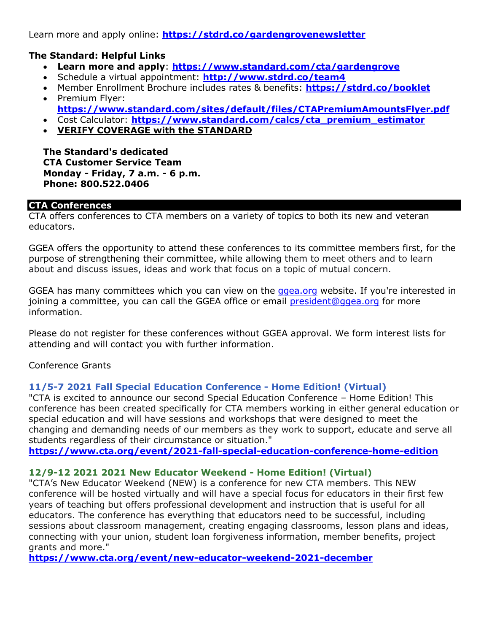Learn more and apply online: **https://stdrd.co/gardengrovenewsletter**

## **The Standard: Helpful Links**

- **Learn more and apply**: **https://www.standard.com/cta/gardengrove**
- Schedule a virtual appointment: **http://www.stdrd.co/team4**
- Member Enrollment Brochure includes rates & benefits: **https://stdrd.co/booklet**
- Premium Flyer: **https://www.standard.com/sites/default/files/CTAPremiumAmountsFlyer.pdf**
- Cost Calculator: **https://www.standard.com/calcs/cta\_premium\_estimator**
- **VERIFY COVERAGE with the STANDARD**

**The Standard's dedicated CTA Customer Service Team Monday - Friday, 7 a.m. - 6 p.m. Phone: 800.522.0406**

## **CTA Conferences**

CTA offers conferences to CTA members on a variety of topics to both its new and veteran educators.

GGEA offers the opportunity to attend these conferences to its committee members first, for the purpose of strengthening their committee, while allowing them to meet others and to learn about and discuss issues, ideas and work that focus on a topic of mutual concern.

GGEA has many committees which you can view on the ggea.org website. If you're interested in joining a committee, you can call the GGEA office or email president@ggea.org for more information.

Please do not register for these conferences without GGEA approval. We form interest lists for attending and will contact you with further information.

Conference Grants

## **11/5-7 2021 Fall Special Education Conference - Home Edition! (Virtual)**

"CTA is excited to announce our second Special Education Conference – Home Edition! This conference has been created specifically for CTA members working in either general education or special education and will have sessions and workshops that were designed to meet the changing and demanding needs of our members as they work to support, educate and serve all students regardless of their circumstance or situation."

**https://www.cta.org/event/2021-fall-special-education-conference-home-edition**

## **12/9-12 2021 2021 New Educator Weekend - Home Edition! (Virtual)**

"CTA's New Educator Weekend (NEW) is a conference for new CTA members. This NEW conference will be hosted virtually and will have a special focus for educators in their first few years of teaching but offers professional development and instruction that is useful for all educators. The conference has everything that educators need to be successful, including sessions about classroom management, creating engaging classrooms, lesson plans and ideas, connecting with your union, student loan forgiveness information, member benefits, project grants and more."

**https://www.cta.org/event/new-educator-weekend-2021-december**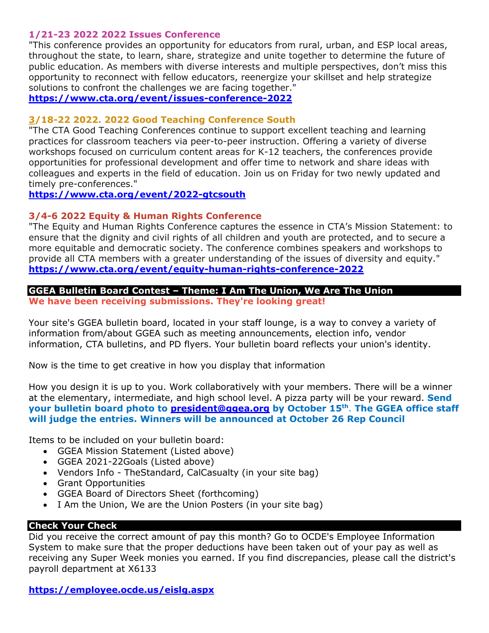## **1/21-23 2022 2022 Issues Conference**

"This conference provides an opportunity for educators from rural, urban, and ESP local areas, throughout the state, to learn, share, strategize and unite together to determine the future of public education. As members with diverse interests and multiple perspectives, don't miss this opportunity to reconnect with fellow educators, reenergize your skillset and help strategize solutions to confront the challenges we are facing together."

**https://www.cta.org/event/issues-conference-2022**

## **3/18-22 2022. 2022 Good Teaching Conference South**

"The CTA Good Teaching Conferences continue to support excellent teaching and learning practices for classroom teachers via peer-to-peer instruction. Offering a variety of diverse workshops focused on curriculum content areas for K-12 teachers, the conferences provide opportunities for professional development and offer time to network and share ideas with colleagues and experts in the field of education. Join us on Friday for two newly updated and timely pre-conferences."

**https://www.cta.org/event/2022-gtcsouth**

## **3/4-6 2022 Equity & Human Rights Conference**

"The Equity and Human Rights Conference captures the essence in CTA's Mission Statement: to ensure that the dignity and civil rights of all children and youth are protected, and to secure a more equitable and democratic society. The conference combines speakers and workshops to provide all CTA members with a greater understanding of the issues of diversity and equity." **https://www.cta.org/event/equity-human-rights-conference-2022**

## **GGEA Bulletin Board Contest – Theme: I Am The Union, We Are The Union We have been receiving submissions. They're looking great!**

Your site's GGEA bulletin board, located in your staff lounge, is a way to convey a variety of information from/about GGEA such as meeting announcements, election info, vendor information, CTA bulletins, and PD flyers. Your bulletin board reflects your union's identity.

Now is the time to get creative in how you display that information

How you design it is up to you. Work collaboratively with your members. There will be a winner at the elementary, intermediate, and high school level. A pizza party will be your reward. **Send your bulletin board photo to president@ggea.org by October 15th**. **The GGEA office staff will judge the entries. Winners will be announced at October 26 Rep Council**

Items to be included on your bulletin board:

- GGEA Mission Statement (Listed above)
- GGEA 2021-22Goals (Listed above)
- Vendors Info TheStandard, CalCasualty (in your site bag)
- Grant Opportunities
- GGEA Board of Directors Sheet (forthcoming)
- I Am the Union, We are the Union Posters (in your site bag)

## **Check Your Check**

Did you receive the correct amount of pay this month? Go to OCDE's Employee Information System to make sure that the proper deductions have been taken out of your pay as well as receiving any Super Week monies you earned. If you find discrepancies, please call the district's payroll department at X6133

**https://employee.ocde.us/eislg.aspx**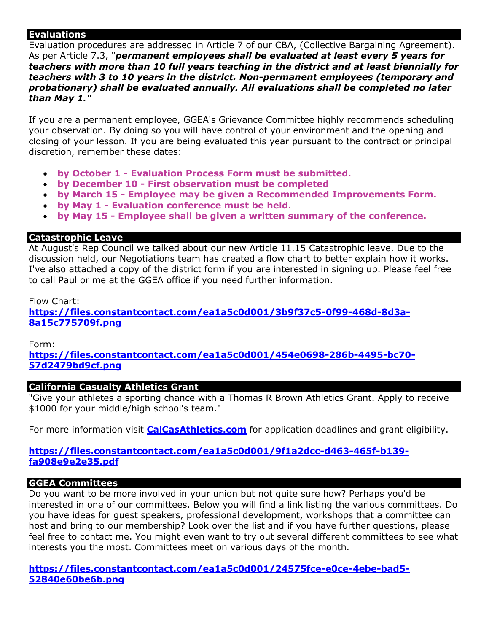## **Evaluations**

Evaluation procedures are addressed in Article 7 of our CBA, (Collective Bargaining Agreement). As per Article 7.3, "*permanent employees shall be evaluated at least every 5 years for teachers with more than 10 full years teaching in the district and at least biennially for teachers with 3 to 10 years in the district. Non-permanent employees (temporary and probationary) shall be evaluated annually. All evaluations shall be completed no later than May 1."*

If you are a permanent employee, GGEA's Grievance Committee highly recommends scheduling your observation. By doing so you will have control of your environment and the opening and closing of your lesson. If you are being evaluated this year pursuant to the contract or principal discretion, remember these dates:

- **by October 1 - Evaluation Process Form must be submitted.**
- **by December 10 - First observation must be completed**
- **by March 15 - Employee may be given a Recommended Improvements Form.**
- **by May 1 - Evaluation conference must be held.**
- **by May 15 - Employee shall be given a written summary of the conference.**

## **Catastrophic Leave**

At August's Rep Council we talked about our new Article 11.15 Catastrophic leave. Due to the discussion held, our Negotiations team has created a flow chart to better explain how it works. I've also attached a copy of the district form if you are interested in signing up. Please feel free to call Paul or me at the GGEA office if you need further information.

## Flow Chart:

**https://files.constantcontact.com/ea1a5c0d001/3b9f37c5-0f99-468d-8d3a-8a15c775709f.png**

Form:

**https://files.constantcontact.com/ea1a5c0d001/454e0698-286b-4495-bc70- 57d2479bd9cf.png**

## **California Casualty Athletics Grant**

"Give your athletes a sporting chance with a Thomas R Brown Athletics Grant. Apply to receive \$1000 for your middle/high school's team."

For more information visit **CalCasAthletics.com** for application deadlines and grant eligibility.

## **https://files.constantcontact.com/ea1a5c0d001/9f1a2dcc-d463-465f-b139 fa908e9e2e35.pdf**

## **GGEA Committees**

Do you want to be more involved in your union but not quite sure how? Perhaps you'd be interested in one of our committees. Below you will find a link listing the various committees. Do you have ideas for guest speakers, professional development, workshops that a committee can host and bring to our membership? Look over the list and if you have further questions, please feel free to contact me. You might even want to try out several different committees to see what interests you the most. Committees meet on various days of the month.

**https://files.constantcontact.com/ea1a5c0d001/24575fce-e0ce-4ebe-bad5- 52840e60be6b.png**